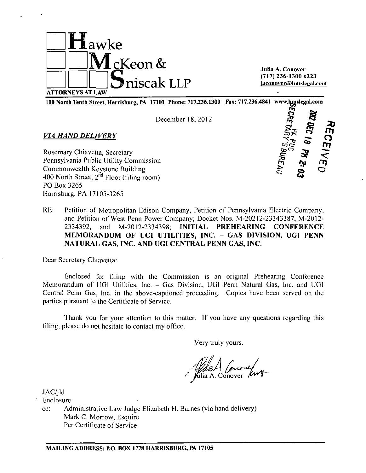

Julia A. Conover (717) 236-1300 x223 jaconover@hmslegal.com

100 North Tenth Street, Harrisburg, PA 17101 Phone: 717.236.1300 Fax: 717.236.4841 www.lyjislegal.com

December 18,2012

#### *VIA HAND DELIVERY*

Rosemary Chiavetta, Secretary Pennsylvania Public Utility Commission Commonwealth Keystone Building 400 North Street, 2<sup>nd</sup> Floor (filing room) PO Box 3265 Harrisburg, PA 17105-3265



RE: Petition of Metropolitan Edison Company, Petition of Pennsylvania Electric Company, and Petition of West Penn Power Company; Docket Nos. M-20212-23343387, M-2012- 2334392, and M-2012-2334398; INITIAL PREHEARING CONFERENCE MEMORANDUM OF UGI UTILITIES, INC. - GAS DIVISION, UGI PENN NATURAL GAS, INC. AND UGI CENTRAL PENN GAS, INC.

Dear Secretary Chiavetta:

Enclosed for filing with the Commission is an original Prehearing Conference Memorandum of UGI Utilities, Inc. - Gas Division, UGI Penn Natural Gas, Inc. and UGI Central Penn Gas, Inc. in the above-captioned proceeding. Copies have been served on the parties pursuant to the Certificate of Service.

Thank you for your attention to this matter. If you have any questions regarding this filing, please do not hesitate to contact my office.

Very truly yours.

Watch Comme

JAC/jld

Enclosure

cc: Administrative Law Judge Elizabeth H. Barnes (via hand delivery) Mark C. Morrow, Esquire Per Certificate of Service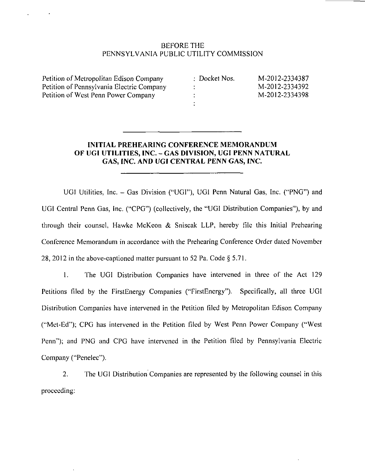## BEFORE THE PENNSYLVANIA PUBLIC UTILITY COMMISSION

Petition of Metropolitan Edison Company Petition of Pennsylvania Electric Company Petition of West Penn Power Company

÷  $\ddot{\phantom{a}}$ 

Docket Nos. M-2012-2334387 M-2012-2334392 M-2012-2334398

# **INITIAL PREHEARING CONFERENCE MEMORANDUM OF UGI UTILITIES, INC. - GAS DIVISION, UGI PENN NATURAL GAS, INC. AND UGI CENTRAL PENN GAS, INC.**

÷

UGI Utilities, Inc. - Gas Division ("UGI"), UGI Penn Natural Gas, Inc. ("PNG") and UGI Central Penn Gas, Inc. ("CPG") (collectively, the "UGI Distribution Companies"), by and through their counsel, Hawke McKeon & Sniscak LLP, hereby file this Initial Prehearing Conference Memorandum in accordance with the Prehearing Conference Order dated November 28, 2012 in the above-captioned matter pursuant to 52 Pa. Code § 5.71.

1. The UGI Distribution Companies have intervened in three of the Act 129 Petitions filed by the FirstEnergy Companies ("FirstEnergy"). Specifically, all three UGI Distribution Companies have intervened in the Petition filed by Metropolitan Edison Company ("Mel-Ed"); CPG has intervened in the Petition filed by West Penn Power Company ("West Penn"); and PNG and CPG have intervened in the Petition filed by Pennsylvania Electric Company ("Penelec"),

2. The UGI Distribution Companies are represented by the following counsel in this proceeding: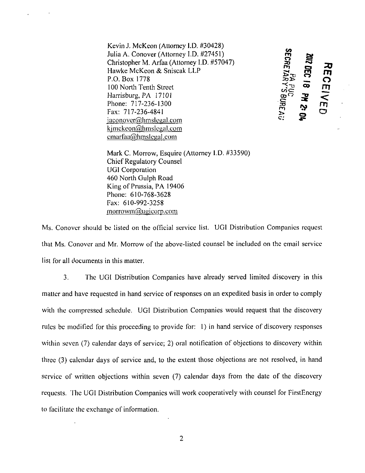Kevin J. McKeon (Attorney I.D. #30428) Julia A. Conover (Attorney I.D. #27451) Christopher M. Arfaa (Attorney I.D. #57047) Hawke McKeon & Sniscak LLP<br>P.O. Box 1778 P.O. Box 1778  $\sum_{i=1}^{\infty}$  O 100 North Tenth Street Harrisburg, PA 17101  $\mathbb{R}^{\circ}$   $\mathbb{R}^{\circ}$   $\mathbb{R}^{\circ}$   $\mathbb{R}^{\circ}$ Phone: 717-236-1300 Fax: 717-236-4841  $i$  **iaconover@hmslegal.com** kimckeon@hmslegal.com cmarfaa@hmslegal.com

**SECRETARY'S BUREAU** הם ס

Mark C. Morrow, Esquire (Attorney I.D. #33590) Chief Regulatory Counsel UGI Corporation 460 North Gulph Road King of Prussia, PA 19406 Phone: 610-768-3628 Fax: 610-992-3258  $morrown@u$ gicorp.com

Ms. Conover should be listed on the official service list. UGI Distribution Companies request that Ms. Conover and Mr. Morrow of the above-listed counsel be included on the email service list for all documents in this matter.

3. The UGI Distribution Companies have already served limited discovery in this matter and have requested in hand service of responses on an expedited basis in order to comply with the compressed schedule. UGI Distribution Companies would request that the discovery rules be modified for this proceeding to provide for: 1) in hand service of discovery responses within seven (7) calendar days of service; 2) oral notification of objections to discovery within three (3) calendar days of service and, to the extent those objections are not resolved, in hand service of written objections within seven (7) calendar days from the date of the discovery requests. The UGI Distribution Companies will work cooperatively with counsel for FirstEnergy to facilitate the exchange of information.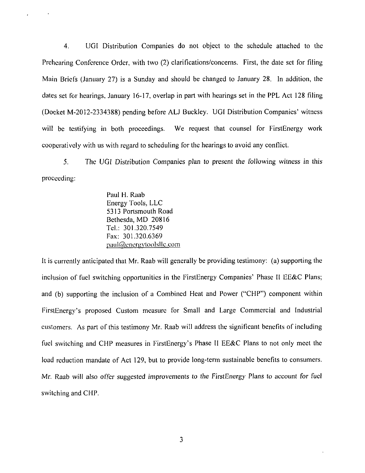4. UGI Distribution Companies do not object to the schedule attached to the Prehearing Conference Order, with two (2) clarifications/concerns. First, the date set for filing Main Briefs (January 27) is a Sunday and should be changed to January 28. In addition, the dates set for hearings, January 16-17, overlap in part with hearings set in the PPL Act 128 filing (Docket M-2012-2334388) pending before ALJ Buckley. UGI Distribution Companies' witness will be testifying in both proceedings. We request that counsel for FirstEnergy work cooperatively with us with regard to scheduling for the hearings to avoid any conflict.

5. The UGI Distribution Companies plan to present the following witness in this proceeding:

> Paul H. Raab Energy Tools, LLC 5313 Portsmouth Road Bethesda, MD 20816 Tel.: 301.320.7549 Fax: 301.320.6369  $paul@energy$ toolsllc.com

It is currently anticipated that Mr. Raab will generally be providing testimony: (a) supporting the inclusion of fuel switching opportunities in the FirstEnergy Companies' Phase II EE&C Plans; and (b) supporting the inclusion of a Combined Heat and Power ("CHP") component within FirstEnergy's proposed Custom measure for Small and Large Commercial and Industrial customers. As part of this testimony Mr. Raab will address the significant benefits of including fuel switching and CHP measures in FirstEnergy's Phase II EE&C Plans to not only meet the load reduction mandate of Act 129, but to provide long-term sustainable benefits to consumers. Mr. Raab will also offer suggested improvements to the FirstEnergy Plans to account for fuel switching and CHP.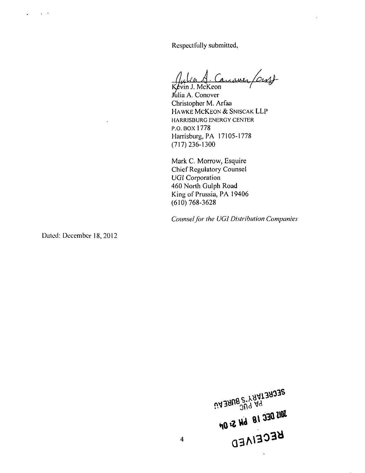Respectfully submitted,

*A (A* 

ivin J. McKeon Jdlia A. Conover Christopher M. Arfaa HAWKE MCKEON & SNISCAK LLP HARRISBURG ENERGY CENTER P.O.BOX 1778 Harrisburg, PA 17105-1778 (717) 236-1300

Mark C. Morrow, Esquire Chief Regulatory Counsel UGI Corporation 460 North Gulph Road King of Prussia, PA 19406 (610) 768-3628

*Counsel for the UGI Distribution Companies* 

Dated: December 18, 2012

**DECUELLARY, PURENT**<br>AND DECLARY SURENT BUS DEC 18 WAS DIE VI

 $\overline{4}$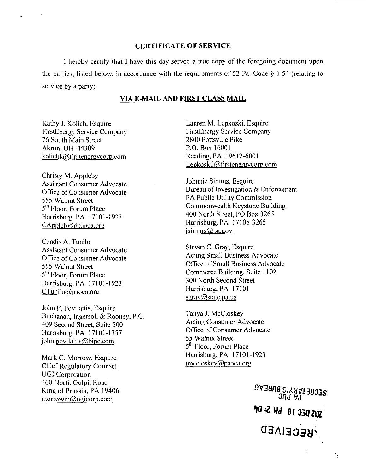## CERTIFICATE OF SERVICE

I hereby certify that I have this day served a true copy of the foregoing document upon the parties, listed below, in accordance with the requirements of 52 Pa. Code § 1.54 (relating to service by a parly).

### **VIA E-MAIL AND FIRST CLASS MAIL**

Kathy J. Kolich, Esquire FirstEnergy Service Company 76 South Main Street Akron, OH 44309 kolichk@firstenergycorp.com

*Christy M. Appleby Assistant Consumer Advocate Office of Consumer Advocate 555 Walnut Street S <sup>01</sup> Floor, Forum Place Harrisburg, PA 17101-1923 CApolebyfi&paaca.arii* 

Candis A. Tunilo Assistant Consumer Advocate Office of Consumer Advocate 555 Walnut Street 5<sup>th</sup> Floor, Forum Place Harrisburg, PA 17101-1923  $C$ Tunilo $@$ paoca.org

John F. Povilaitis, Esquire Buchanan, Ingersoll & Rooney, P.C. 409 Second Street, Suite 500 Harrisburg, PA 17101-1357 iohn.Dovilaitis@bipc.com

Mark C. Morrow, Esquire Chief Regulatory Counsel UGI Corporation 460 North Gulph Road King of Prussia, PA 19406  $morrowm$ @ugicorp.com

Lauren M. Lepkoski, Esquire FirstEnergy Service Company 2800 Pottsville Pike P.O. Box 16001 Reading, PA 19612-6001 Lepkoskil@firstenergycorp.com

Johnnie Simms, Esquire Bureau of Investigation & Enforcement PA Public Utility Commission Commonwealth Keystone Building 400 North Street, PO Box 3265 Harrisburg, PA 17105-3265 jsimms@pa.gov

Steven C. Gray, Esquire Acting Small Business Advocate Office of Small Business Advocate Commerce Building, Suite 1102 300 North Second Street Harrisburg, PA 17101 sgray@state.pa.us

Tanya J. McCloskey Acting Consumer Advocate Office of Consumer Advocate 55 Walnut Street 5<sup>th</sup> Floor, Forum Place Harrisburg, PA 17101-1923 tmccloskev@paoca.oru

> SECRETARY SUREAU  $J\overline{J}$ d va **WIS DEC 18 SH S: 01 ARCEIVED**